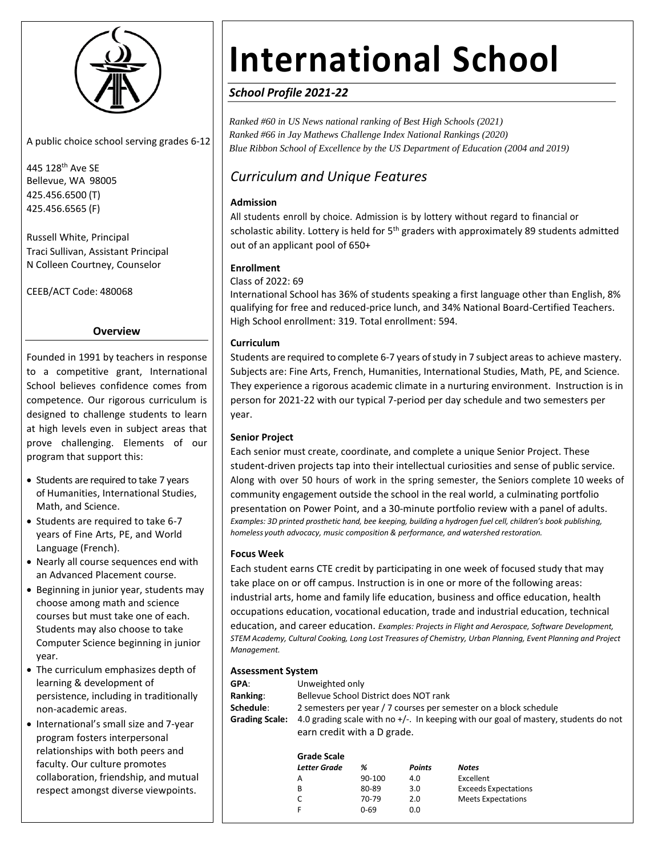

A public choice school serving grades 6-12

445 128th Ave SE Bellevue, WA 98005 425.456.6500 (T) 425.456.6565 (F)

Russell White, Principal Traci Sullivan, Assistant Principal N Colleen Courtney, Counselor

CEEB/ACT Code: 480068

#### **Overview**

Founded in 1991 by teachers in response to a competitive grant, International School believes confidence comes from competence. Our rigorous curriculum is designed to challenge students to learn at high levels even in subject areas that prove challenging. Elements of our program that support this:

- Students are required to take 7 years of Humanities, International Studies, Math, and Science.
- Students are required to take 6-7 years of Fine Arts, PE, and World Language (French).
- Nearly all course sequences end with an Advanced Placement course.
- Beginning in junior year, students may choose among math and science courses but must take one of each. Students may also choose to take Computer Science beginning in junior year.
- The curriculum emphasizes depth of learning & development of persistence, including in traditionally non-academic areas.
- International's small size and 7-year program fosters interpersonal relationships with both peers and faculty. Our culture promotes collaboration, friendship, and mutual respect amongst diverse viewpoints.

# **International School**

### *School Profile 2021-22*

*Ranked #60 in US News national ranking of Best High Schools (2021) Ranked #66 in Jay Mathews Challenge Index National Rankings (2020) Blue Ribbon School of Excellence by the US Department of Education (2004 and 2019)*

## *Curriculum and Unique Features*

#### **Admission**

All students enroll by choice. Admission is by lottery without regard to financial or scholastic ability. Lottery is held for  $5<sup>th</sup>$  graders with approximately 89 students admitted out of an applicant pool of 650+

#### **Enrollment**

Class of 2022: 69

International School has 36% of students speaking a first language other than English, 8% qualifying for free and reduced-price lunch, and 34% National Board-Certified Teachers. High School enrollment: 319. Total enrollment: 594.

#### **Curriculum**

Students are required to complete 6-7 years of study in 7 subject areas to achieve mastery. Subjects are: Fine Arts, French, Humanities, International Studies, Math, PE, and Science. They experience a rigorous academic climate in a nurturing environment. Instruction is in person for 2021-22 with our typical 7-period per day schedule and two semesters per year.

#### **Senior Project**

Each senior must create, coordinate, and complete a unique Senior Project. These student-driven projects tap into their intellectual curiosities and sense of public service. Along with over 50 hours of work in the spring semester, the Seniors complete 10 weeks of community engagement outside the school in the real world, a culminating portfolio presentation on Power Point, and a 30-minute portfolio review with a panel of adults. *Examples: 3D printed prosthetic hand, bee keeping, building a hydrogen fuel cell, children's book publishing, homeless youth advocacy, music composition & performance, and watershed restoration.*

#### **Focus Week**

Each student earns CTE credit by participating in one week of focused study that may take place on or off campus. Instruction is in one or more of the following areas: industrial arts, home and family life education, business and office education, health occupations education, vocational education, trade and industrial education, technical education, and career education. *Examples: Projects in Flight and Aerospace, Software Development, STEM Academy, Cultural Cooking, Long Lost Treasures of Chemistry, Urban Planning, Event Planning and Project Management.*

#### **Assessment System**

| GPA:                  | Unweighted only                                                                                                    |
|-----------------------|--------------------------------------------------------------------------------------------------------------------|
| Ranking:              | Bellevue School District does NOT rank                                                                             |
| Schedule:             | 2 semesters per year / 7 courses per semester on a block schedule                                                  |
| <b>Grading Scale:</b> | 4.0 grading scale with no +/-. In keeping with our goal of mastery, students do not<br>earn credit with a D grade. |

| <b>Grade Scale</b>  |          |               |                             |
|---------------------|----------|---------------|-----------------------------|
| <b>Letter Grade</b> | %        | <b>Points</b> | <b>Notes</b>                |
| А                   | 90-100   | 4.0           | Excellent                   |
| в                   | 80-89    | 3.0           | <b>Exceeds Expectations</b> |
|                     | 70-79    | 2.0           | <b>Meets Expectations</b>   |
|                     | $0 - 69$ | 0.0           |                             |
|                     |          |               |                             |